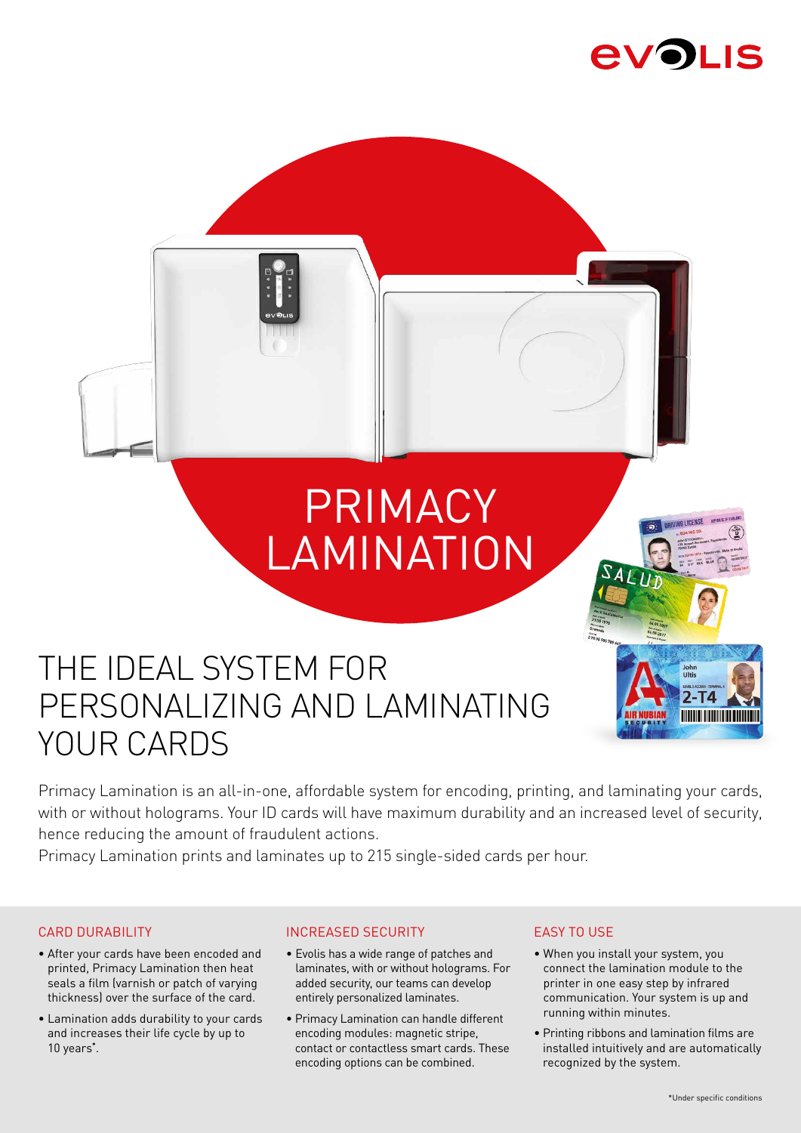## **AVOLIS**



# PRIMACY LAMINATION



## THE IDEAL SYSTEM FOR PERSONALIZING AND LAMINATING YOUR CARDS

Primacy Lamination is an all-in-one, affordable system for encoding, printing, and laminating your cards, with or without holograms. Your ID cards will have maximum durability and an increased level of security, hence reducing the amount of fraudulent actions.

Primacy Lamination prints and laminates up to 215 single-sided cards per hour.

#### CARD DURABILITY

- After your cards have been encoded and printed, Primacy Lamination then heat seals a film (varnish or patch of varying thickness) over the surface of the card.
- Lamination adds durability to your cards and increases their life cycle by up to 10 years**\*** .

#### INCREASED SECURITY

- Evolis has a wide range of patches and laminates, with or without holograms. For added security, our teams can develop entirely personalized laminates.
- Primacy Lamination can handle different encoding modules: magnetic stripe, contact or contactless smart cards. These encoding options can be combined.

#### EASY TO USE

- When you install your system, you connect the lamination module to the printer in one easy step by infrared communication. Your system is up and running within minutes.
- Printing ribbons and lamination films are installed intuitively and are automatically recognized by the system.